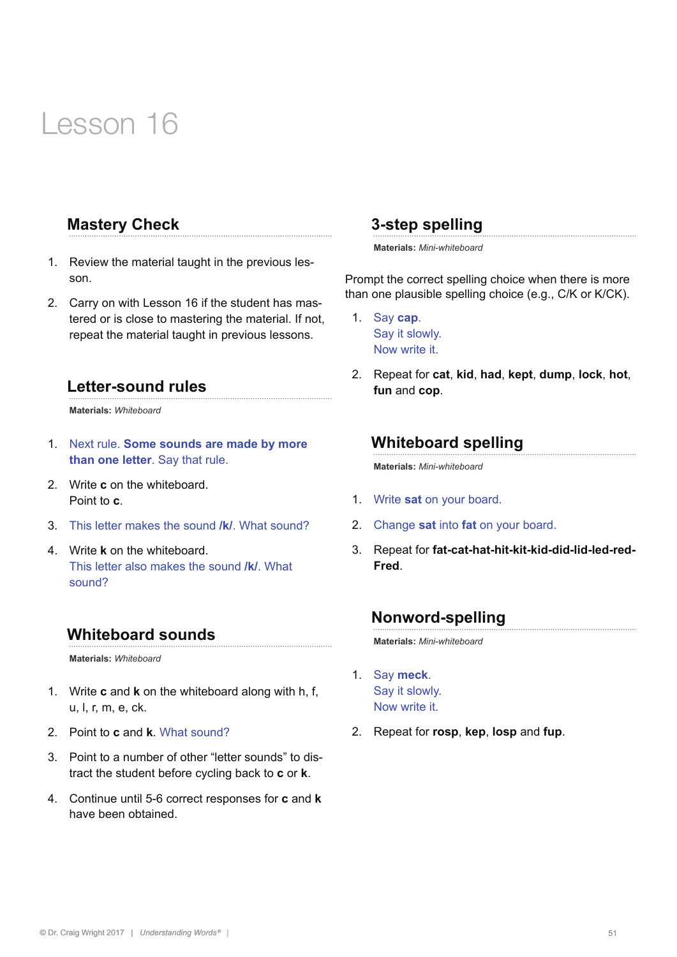# Lesson 16

# **Mastery Check**

- 1. Review the material taught in the previous lesson.
- 2. Carry on with Lesson 16 if the student has mastered or is close to mastering the material. If not, repeat the material taught in previous lessons.

#### **Letter-sound rules**

**Materials:** *Whiteboard* 

- 1. Next rule. **Some sounds are made by more than one letter**. Say that rule.
- 2. Write **c** on the whiteboard. Point to **c**.
- 3. This letter makes the sound **/k/**. What sound?
- 4. Write **k** on the whiteboard. This letter also makes the sound **/k/**. What sound?

#### **Whiteboard sounds**

**Materials:** *Whiteboard* 

- 1. Write **c** and **k** on the whiteboard along with h, f, u, l, r, m, e, ck.
- 2. Point to **c** and **k**. What sound?
- 3. Point to a number of other "letter sounds" to distract the student before cycling back to **c** or **k**.
- 4. Continue until 5-6 correct responses for **c** and **k** have been obtained.

#### **3-step spelling**

**Materials:** *Mini-whiteboard*

Prompt the correct spelling choice when there is more than one plausible spelling choice (e.g., C/K or K/CK).

- 1. Say **cap**. Say it slowly. Now write it.
- 2. Repeat for **cat**, **kid**, **had**, **kept**, **dump**, **lock**, **hot**, **fun** and **cop**.

#### **Whiteboard spelling**

**Materials:** *Mini-whiteboard*

- 1. Write **sat** on your board.
- 2. Change **sat** into **fat** on your board.
- 3. Repeat for **fat-cat-hat-hit-kit-kid-did-lid-led-red-Fred**.

#### **Nonword-spelling**

**Materials:** *Mini-whiteboard*

- 1. Say **meck**. Say it slowly. Now write it.
- 2. Repeat for **rosp**, **kep**, **losp** and **fup**.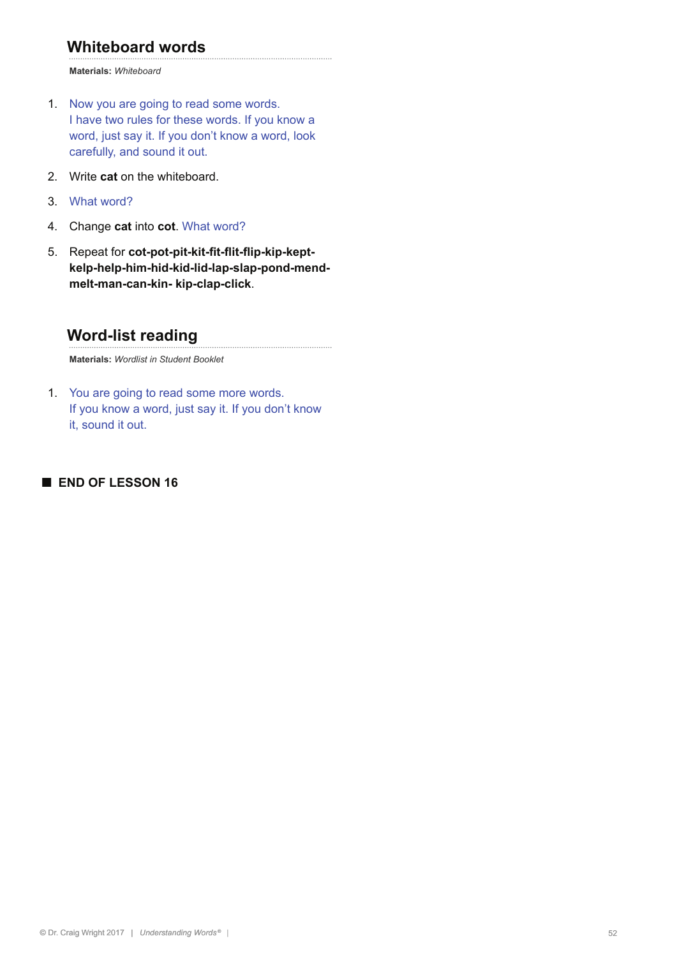# **Whiteboard words**

**Materials:** *Whiteboard*

- 1. Now you are going to read some words. I have two rules for these words. If you know a word, just say it. If you don't know a word, look carefully, and sound it out.
- 2. Write **cat** on the whiteboard.
- 3. What word?
- 4. Change **cat** into **cot**. What word?
- 5. Repeat for **cot-pot-pit-kit-fit-flit-flip-kip-keptkelp-help-him-hid-kid-lid-lap-slap-pond-mendmelt-man-can-kin- kip-clap-click**.

# **Word-list reading**

**Materials:** *Wordlist in Student Booklet*

1. You are going to read some more words. If you know a word, just say it. If you don't know it, sound it out.

#### **■ END OF LESSON 16**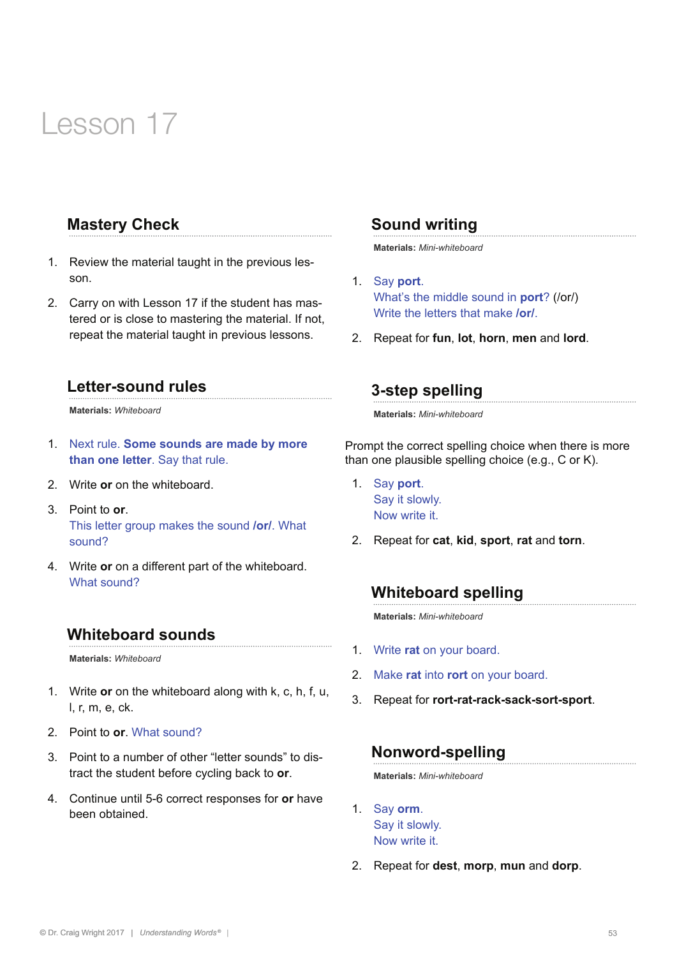# Lesson 17

# **Mastery Check**

- 1. Review the material taught in the previous lesson.
- 2. Carry on with Lesson 17 if the student has mastered or is close to mastering the material. If not, repeat the material taught in previous lessons.

#### **Letter-sound rules**

**Materials:** *Whiteboard* 

- 1. Next rule. **Some sounds are made by more than one letter**. Say that rule.
- 2. Write **or** on the whiteboard.
- 3. Point to **or**. This letter group makes the sound **/or/**. What sound?
- 4. Write **or** on a different part of the whiteboard. What sound?

#### **Whiteboard sounds**

**Materials:** *Whiteboard* 

- 1. Write **or** on the whiteboard along with k, c, h, f, u, l, r, m, e, ck.
- 2. Point to **or**. What sound?
- 3. Point to a number of other "letter sounds" to distract the student before cycling back to **or**.
- 4. Continue until 5-6 correct responses for **or** have been obtained.

### **Sound writing**

**Materials:** *Mini-whiteboard*

- 1. Say **port**. What's the middle sound in **port**? (/or/) Write the letters that make **/or/**.
- 2. Repeat for **fun**, **lot**, **horn**, **men** and **lord**.

# **3-step spelling**

**Materials:** *Mini-whiteboard*

Prompt the correct spelling choice when there is more than one plausible spelling choice (e.g., C or K).

- 1. Say **port**. Say it slowly. Now write it.
- 2. Repeat for **cat**, **kid**, **sport**, **rat** and **torn**.

# **Whiteboard spelling**

**Materials:** *Mini-whiteboard*

- 1. Write **rat** on your board.
- 2. Make **rat** into **rort** on your board.
- 3. Repeat for **rort-rat-rack-sack-sort-sport**.

# **Nonword-spelling**

**Materials:** *Mini-whiteboard*

- 1. Say **orm**. Say it slowly. Now write it.
- 2. Repeat for **dest**, **morp**, **mun** and **dorp**.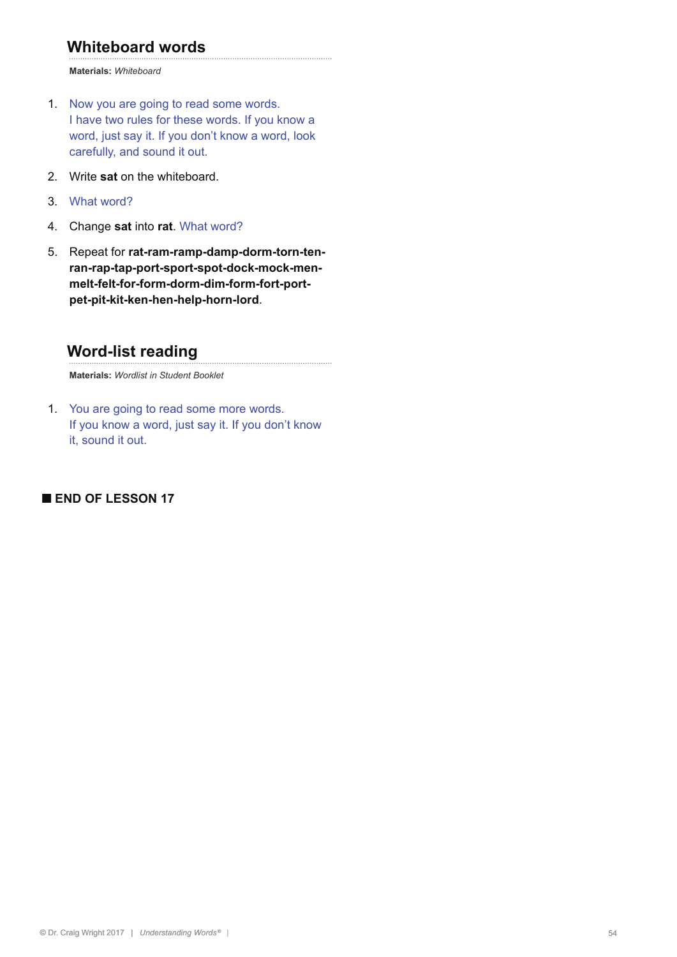# **Whiteboard words**

**Materials:** *Whiteboard*

- 1. Now you are going to read some words. I have two rules for these words. If you know a word, just say it. If you don't know a word, look carefully, and sound it out.
- 2. Write **sat** on the whiteboard.
- 3. What word?
- 4. Change **sat** into **rat**. What word?
- 5. Repeat for **rat-ram-ramp-damp-dorm-torn-tenran-rap-tap-port-sport-spot-dock-mock-menmelt-felt-for-form-dorm-dim-form-fort-portpet-pit-kit-ken-hen-help-horn-lord**.

# **Word-list reading**

**Materials:** *Wordlist in Student Booklet*

1. You are going to read some more words. If you know a word, just say it. If you don't know it, sound it out.

#### **■ END OF LESSON 17**